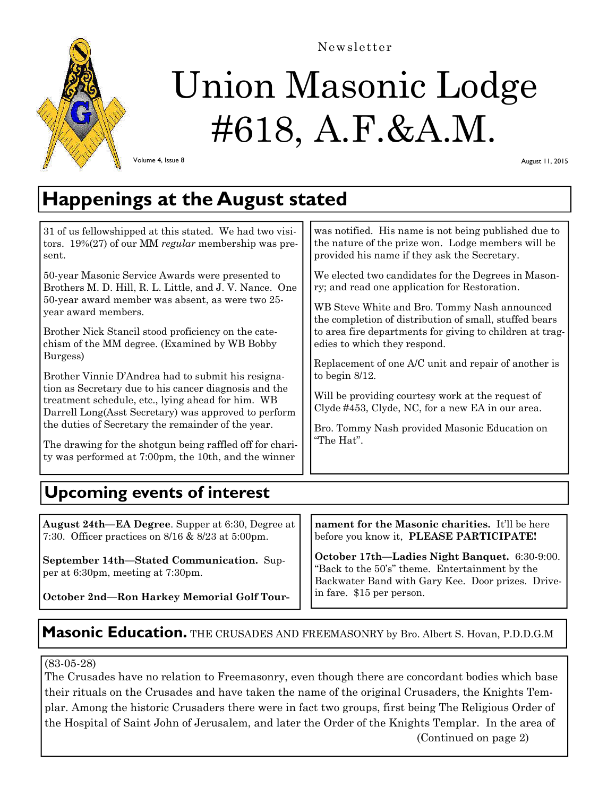

# Union Masonic Lodge #618, A.F.&A.M.

Newsletter

Volume 4, Issue 8

August 11, 2015

## **Happenings at the August stated**

was notified. His name is not being published due to the nature of the prize won. Lodge members will be provided his name if they ask the Secretary. We elected two candidates for the Degrees in Masonry; and read one application for Restoration. WB Steve White and Bro. Tommy Nash announced the completion of distribution of small, stuffed bears to area fire departments for giving to children at tragedies to which they respond. Replacement of one A/C unit and repair of another is to begin 8/12. Will be providing courtesy work at the request of Clyde #453, Clyde, NC, for a new EA in our area. Bro. Tommy Nash provided Masonic Education on "The Hat". 31 of us fellowshipped at this stated. We had two visitors. 19%(27) of our MM *regular* membership was present. 50-year Masonic Service Awards were presented to Brothers M. D. Hill, R. L. Little, and J. V. Nance. One 50-year award member was absent, as were two 25 year award members. Brother Nick Stancil stood proficiency on the catechism of the MM degree. (Examined by WB Bobby Burgess) Brother Vinnie D'Andrea had to submit his resignation as Secretary due to his cancer diagnosis and the treatment schedule, etc., lying ahead for him. WB Darrell Long(Asst Secretary) was approved to perform the duties of Secretary the remainder of the year. The drawing for the shotgun being raffled off for charity was performed at 7:00pm, the 10th, and the winner **Upcoming events of interest** 

**August 24th—EA Degree**. Supper at 6:30, Degree at 7:30. Officer practices on 8/16 & 8/23 at 5:00pm.

**September 14th—Stated Communication.** Supper at 6:30pm, meeting at 7:30pm.

**nament for the Masonic charities.** It'll be here before you know it, **PLEASE PARTICIPATE!** 

**October 17th—Ladies Night Banquet.** 6:30-9:00. "Back to the 50's" theme. Entertainment by the Backwater Band with Gary Kee. Door prizes. Drivein fare. \$15 per person.

**October 2nd—Ron Harkey Memorial Golf Tour-**

### **Masonic Education.** The CRUSADES AND FREEMASONRY by Bro. Albert S. Hovan, P.D.D.G.M

(83-05-28)

The Crusades have no relation to Freemasonry, even though there are concordant bodies which base their rituals on the Crusades and have taken the name of the original Crusaders, the Knights Templar. Among the historic Crusaders there were in fact two groups, first being The Religious Order of the Hospital of Saint John of Jerusalem, and later the Order of the Knights Templar. In the area of (Continued on page 2)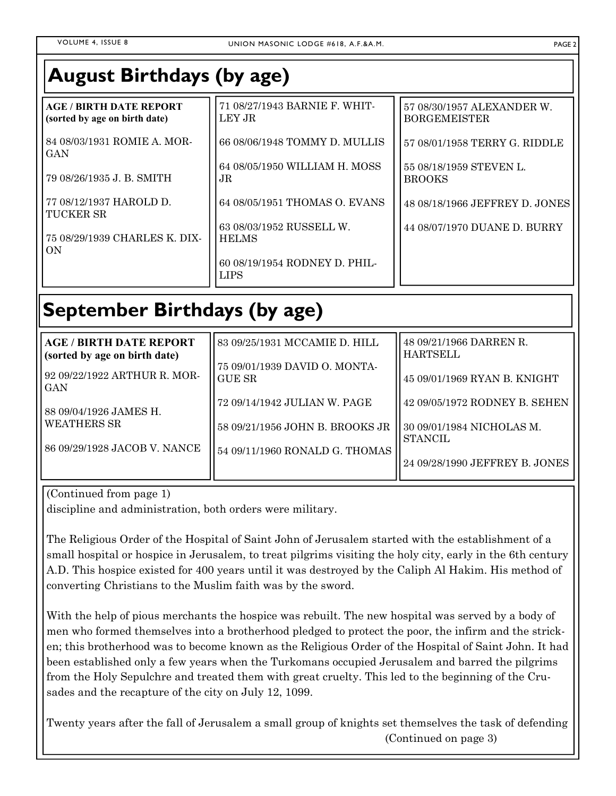### **August Birthdays (by age)**

| <b>AGE / BIRTH DATE REPORT</b>       | 71 08/27/1943 BARNIE F. WHIT-                 | 57 08/30/1957 ALEXANDER W.     |
|--------------------------------------|-----------------------------------------------|--------------------------------|
| (sorted by age on birth date)        | LEY JR                                        | <b>BORGEMEISTER</b>            |
| 84 08/03/1931 ROMIE A. MOR-          | 66 08/06/1948 TOMMY D. MULLIS                 | 57 08/01/1958 TERRY G. RIDDLE  |
| <b>GAN</b>                           | 64 08/05/1950 WILLIAM H. MOSS                 | 55 08/18/1959 STEVEN L.        |
| 79 08/26/1935 J. B. SMITH            | JR.                                           | <b>BROOKS</b>                  |
| 77 08/12/1937 HAROLD D.              | 64 08/05/1951 THOMAS O. EVANS                 | 48 08/18/1966 JEFFREY D. JONES |
| TUCKER SR                            | 63 08/03/1952 RUSSELL W.                      | 44 08/07/1970 DUANE D. BURRY   |
| 75 08/29/1939 CHARLES K. DIX-<br> ON | <b>HELMS</b><br>60 08/19/1954 RODNEY D. PHIL- |                                |
|                                      | <b>LIPS</b>                                   |                                |

# **September Birthdays (by age)**

| <b>AGE / BIRTH DATE REPORT</b>        | 83 09/25/1931 MCCAMIE D. HILL   | 48 09/21/1966 DARREN R.                     |
|---------------------------------------|---------------------------------|---------------------------------------------|
| (sorted by age on birth date)         |                                 | <b>HARTSELL</b>                             |
|                                       | 75 09/01/1939 DAVID O. MONTA-   |                                             |
| 92 09/22/1922 ARTHUR R. MOR-<br>GAN   | <b>GUE SR</b>                   | 45 09/01/1969 RYAN B. KNIGHT                |
| 88 09/04/1926 JAMES H.<br>WEATHERS SR | 72 09/14/1942 JULIAN W. PAGE    | 42 09/05/1972 RODNEY B. SEHEN               |
|                                       | 58 09/21/1956 JOHN B. BROOKS JR | 30 09/01/1984 NICHOLAS M.<br><b>STANCIL</b> |
| 86 09/29/1928 JACOB V. NANCE          | 54 09/11/1960 RONALD G. THOMAS  |                                             |
|                                       |                                 | 24 09/28/1990 JEFFREY B. JONES              |

(Continued from page 1)

discipline and administration, both orders were military.

The Religious Order of the Hospital of Saint John of Jerusalem started with the establishment of a small hospital or hospice in Jerusalem, to treat pilgrims visiting the holy city, early in the 6th century A.D. This hospice existed for 400 years until it was destroyed by the Caliph Al Hakim. His method of converting Christians to the Muslim faith was by the sword.

With the help of pious merchants the hospice was rebuilt. The new hospital was served by a body of men who formed themselves into a brotherhood pledged to protect the poor, the infirm and the stricken; this brotherhood was to become known as the Religious Order of the Hospital of Saint John. It had been established only a few years when the Turkomans occupied Jerusalem and barred the pilgrims from the Holy Sepulchre and treated them with great cruelty. This led to the beginning of the Crusades and the recapture of the city on July 12, 1099.

Twenty years after the fall of Jerusalem a small group of knights set themselves the task of defending (Continued on page 3)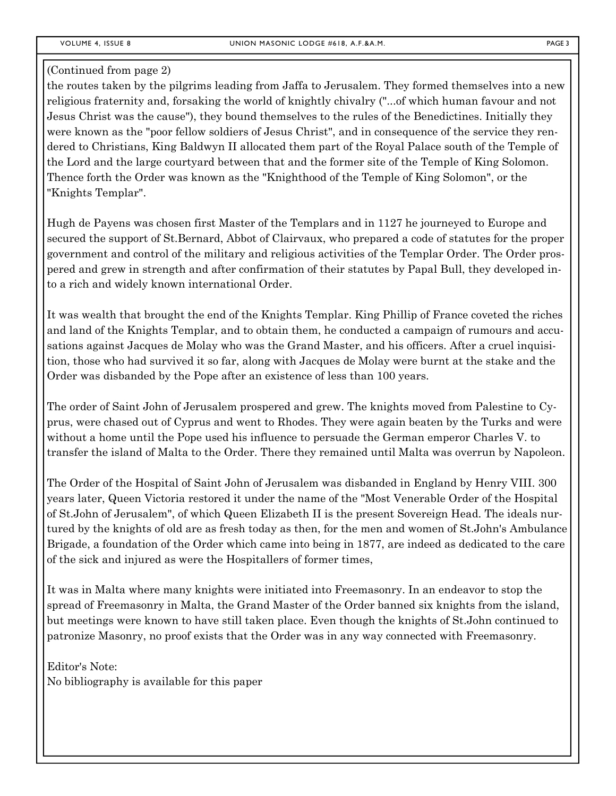#### (Continued from page 2)

the routes taken by the pilgrims leading from Jaffa to Jerusalem. They formed themselves into a new religious fraternity and, forsaking the world of knightly chivalry ("...of which human favour and not Jesus Christ was the cause"), they bound themselves to the rules of the Benedictines. Initially they were known as the "poor fellow soldiers of Jesus Christ", and in consequence of the service they rendered to Christians, King Baldwyn II allocated them part of the Royal Palace south of the Temple of the Lord and the large courtyard between that and the former site of the Temple of King Solomon. Thence forth the Order was known as the "Knighthood of the Temple of King Solomon", or the "Knights Templar".

Hugh de Payens was chosen first Master of the Templars and in 1127 he journeyed to Europe and secured the support of St.Bernard, Abbot of Clairvaux, who prepared a code of statutes for the proper government and control of the military and religious activities of the Templar Order. The Order prospered and grew in strength and after confirmation of their statutes by Papal Bull, they developed into a rich and widely known international Order.

It was wealth that brought the end of the Knights Templar. King Phillip of France coveted the riches and land of the Knights Templar, and to obtain them, he conducted a campaign of rumours and accusations against Jacques de Molay who was the Grand Master, and his officers. After a cruel inquisition, those who had survived it so far, along with Jacques de Molay were burnt at the stake and the Order was disbanded by the Pope after an existence of less than 100 years.

The order of Saint John of Jerusalem prospered and grew. The knights moved from Palestine to Cyprus, were chased out of Cyprus and went to Rhodes. They were again beaten by the Turks and were without a home until the Pope used his influence to persuade the German emperor Charles V. to transfer the island of Malta to the Order. There they remained until Malta was overrun by Napoleon.

The Order of the Hospital of Saint John of Jerusalem was disbanded in England by Henry VIII. 300 years later, Queen Victoria restored it under the name of the "Most Venerable Order of the Hospital of St.John of Jerusalem", of which Queen Elizabeth II is the present Sovereign Head. The ideals nurtured by the knights of old are as fresh today as then, for the men and women of St.John's Ambulance Brigade, a foundation of the Order which came into being in 1877, are indeed as dedicated to the care of the sick and injured as were the Hospitallers of former times,

It was in Malta where many knights were initiated into Freemasonry. In an endeavor to stop the spread of Freemasonry in Malta, the Grand Master of the Order banned six knights from the island, but meetings were known to have still taken place. Even though the knights of St.John continued to patronize Masonry, no proof exists that the Order was in any way connected with Freemasonry.

Editor's Note: No bibliography is available for this paper